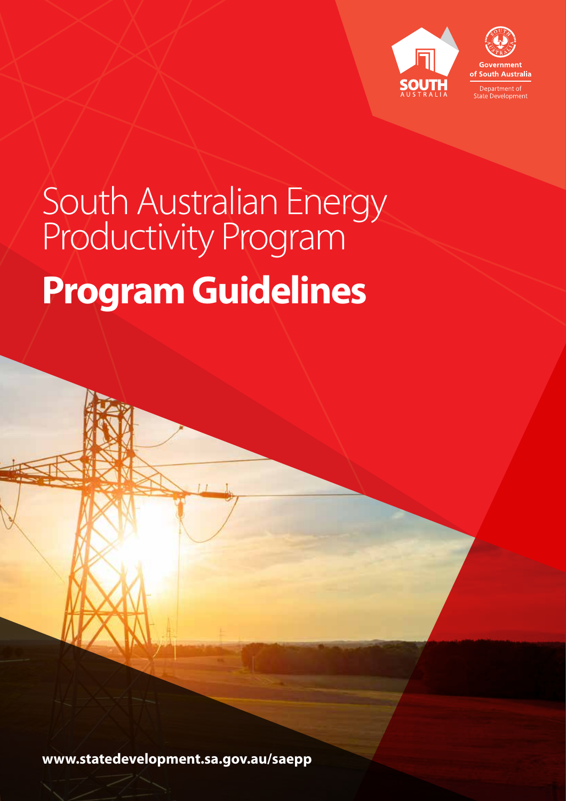

## South Australian Energy Productivity Program **Program Guidelines**

**www.statedevelopment.sa.gov.au/saepp**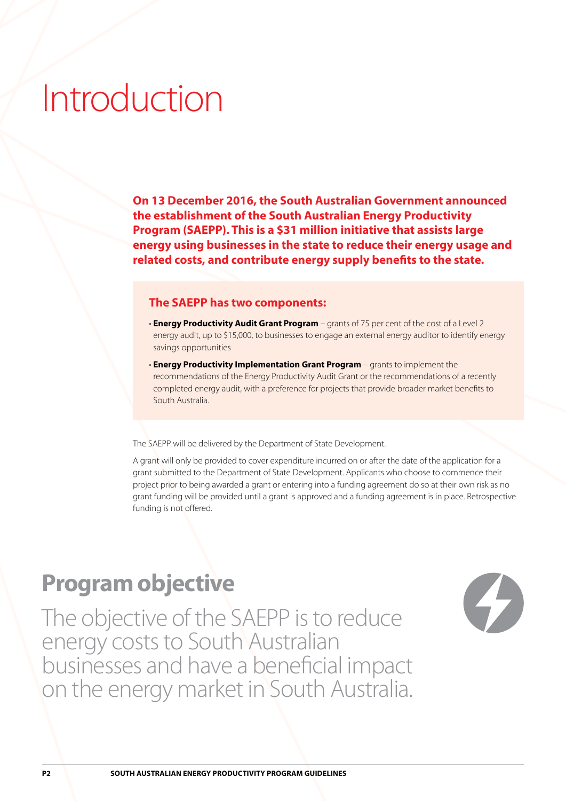### Introduction

**On 13 December 2016, the South Australian Government announced the establishment of the South Australian Energy Productivity Program (SAEPP). This is a \$31 million initiative that assists large energy using businesses in the state to reduce their energy usage and related costs, and contribute energy supply benefits to the state.**

#### **The SAEPP has two components:**

- **Energy Productivity Audit Grant Program** grants of 75 per cent of the cost of a Level 2 energy audit, up to \$15,000, to businesses to engage an external energy auditor to identify energy savings opportunities
- **Energy Productivity Implementation Grant Program** grants to implement the recommendations of the Energy Productivity Audit Grant or the recommendations of a recently completed energy audit, with a preference for projects that provide broader market benefits to South Australia.

The SAEPP will be delivered by the Department of State Development.

A grant will only be provided to cover expenditure incurred on or after the date of the application for a grant submitted to the Department of State Development. Applicants who choose to commence their project prior to being awarded a grant or entering into a funding agreement do so at their own risk as no grant funding will be provided until a grant is approved and a funding agreement is in place. Retrospective funding is not offered.

### **Program objective**

The objective of the SAEPP is to reduce energy costs to South Australian businesses and have a beneficial impact on the energy market in South Australia.

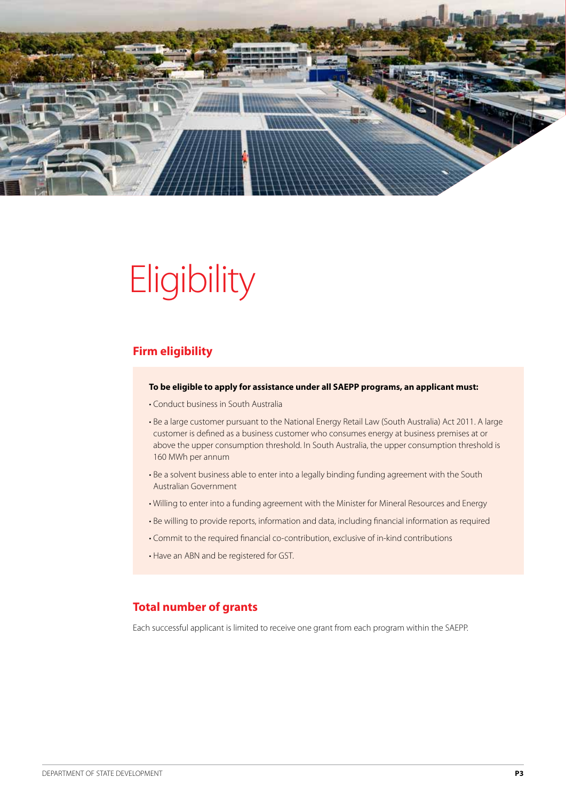

# **Eligibility**

### **Firm eligibility**

#### **To be eligible to apply for assistance under all SAEPP programs, an applicant must:**

- Conduct business in South Australia
- Be a large customer pursuant to the National Energy Retail Law (South Australia) Act 2011. A large customer is defined as a business customer who consumes energy at business premises at or above the upper consumption threshold. In South Australia, the upper consumption threshold is 160 MWh per annum
- Be a solvent business able to enter into a legally binding funding agreement with the South Australian Government
- Willing to enter into a funding agreement with the Minister for Mineral Resources and Energy
- Be willing to provide reports, information and data, including financial information as required
- Commit to the required financial co-contribution, exclusive of in-kind contributions
- Have an ABN and be registered for GST.

### **Total number of grants**

Each successful applicant is limited to receive one grant from each program within the SAEPP.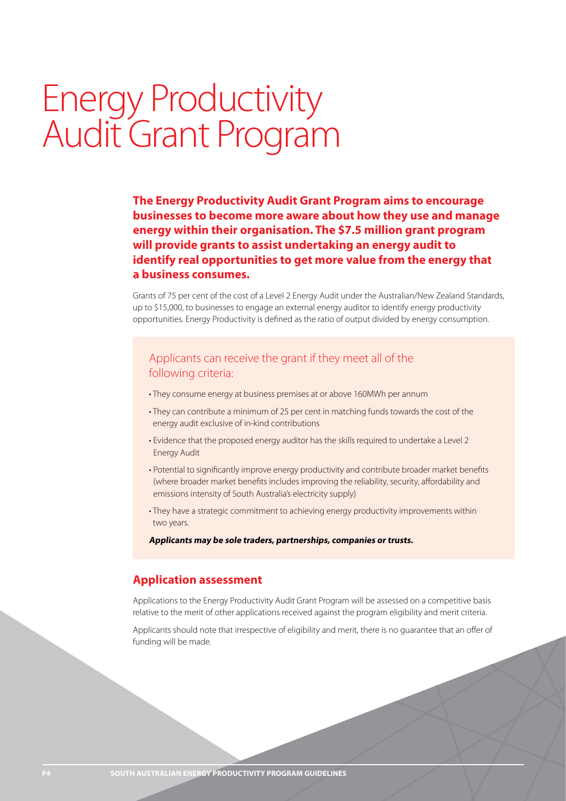### Energy Productivity Audit Grant Program

**The Energy Productivity Audit Grant Program aims to encourage businesses to become more aware about how they use and manage energy within their organisation. The \$7.5 million grant program will provide grants to assist undertaking an energy audit to identify real opportunities to get more value from the energy that a business consumes.**

Grants of 75 per cent of the cost of a Level 2 Energy Audit under the Australian/New Zealand Standards, up to \$15,000, to businesses to engage an external energy auditor to identify energy productivity opportunities. Energy Productivity is defined as the ratio of output divided by energy consumption.

### Applicants can receive the grant if they meet all of the following criteria:

- They consume energy at business premises at or above 160MWh per annum
- They can contribute a minimum of 25 per cent in matching funds towards the cost of the energy audit exclusive of in-kind contributions
- Evidence that the proposed energy auditor has the skills required to undertake a Level 2 Energy Audit
- Potential to significantly improve energy productivity and contribute broader market benefits (where broader market benefits includes improving the reliability, security, affordability and emissions intensity of South Australia's electricity supply)
- They have a strategic commitment to achieving energy productivity improvements within two years.

**Applicants may be sole traders, partnerships, companies or trusts.**

### **Application assessment**

Applications to the Energy Productivity Audit Grant Program will be assessed on a competitive basis relative to the merit of other applications received against the program eligibility and merit criteria.

Applicants should note that irrespective of eligibility and merit, there is no guarantee that an offer of funding will be made.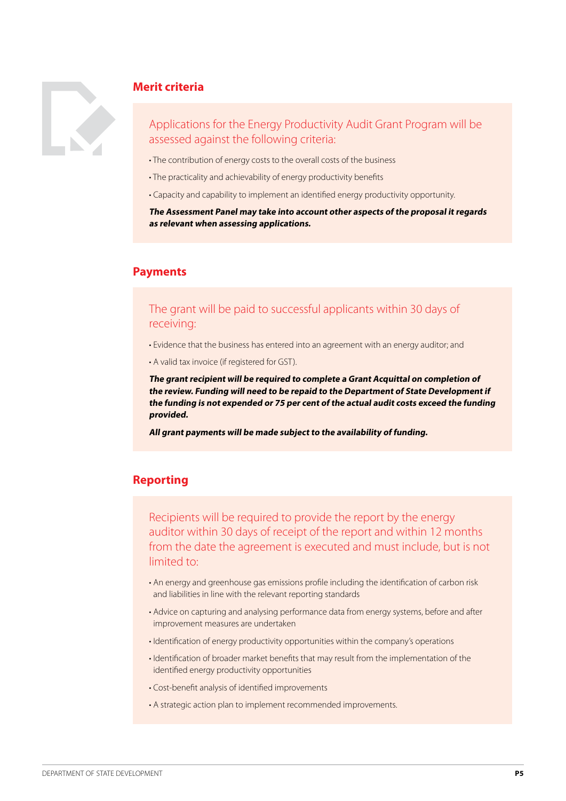

### **Merit criteria**

### Applications for the Energy Productivity Audit Grant Program will be assessed against the following criteria:

- The contribution of energy costs to the overall costs of the business
- The practicality and achievability of energy productivity benefits
- Capacity and capability to implement an identified energy productivity opportunity.

**The Assessment Panel may take into account other aspects of the proposal it regards as relevant when assessing applications.**

### **Payments**

### The grant will be paid to successful applicants within 30 days of receiving:

- Evidence that the business has entered into an agreement with an energy auditor; and
- A valid tax invoice (if registered for GST).

**The grant recipient will be required to complete a Grant Acquittal on completion of the review. Funding will need to be repaid to the Department of State Development if the funding is not expended or 75 per cent of the actual audit costs exceed the funding provided.**

**All grant payments will be made subject to the availability of funding.**

### **Reporting**

Recipients will be required to provide the report by the energy auditor within 30 days of receipt of the report and within 12 months from the date the agreement is executed and must include, but is not limited to:

- An energy and greenhouse gas emissions profile including the identification of carbon risk and liabilities in line with the relevant reporting standards
- Advice on capturing and analysing performance data from energy systems, before and after improvement measures are undertaken
- Identification of energy productivity opportunities within the company's operations
- Identification of broader market benefits that may result from the implementation of the identified energy productivity opportunities
- Cost-benefit analysis of identified improvements
- A strategic action plan to implement recommended improvements.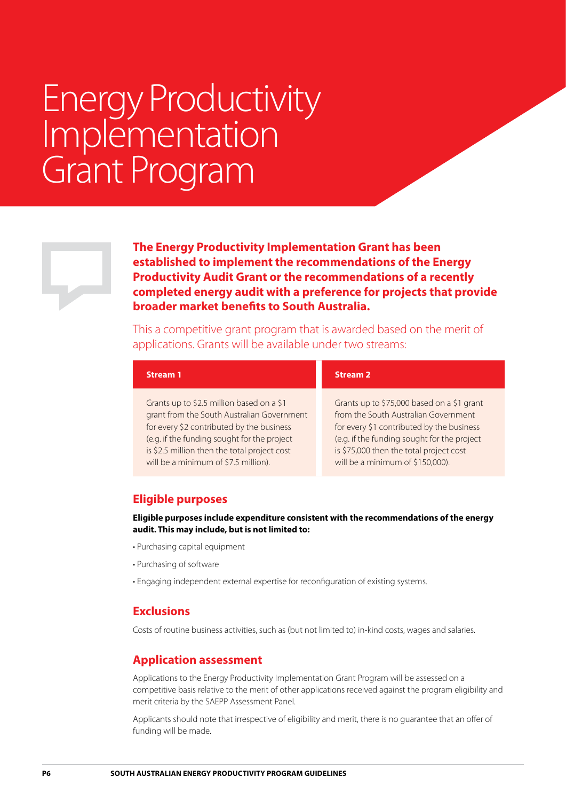### Energy Productivity Implementation Grant Program

**The Energy Productivity Implementation Grant has been established to implement the recommendations of the Energy Productivity Audit Grant or the recommendations of a recently completed energy audit with a preference for projects that provide broader market benefits to South Australia.**

This a competitive grant program that is awarded based on the merit of applications. Grants will be available under two streams:

| <b>Stream 1</b>                              | <b>Stream 2</b>                             |
|----------------------------------------------|---------------------------------------------|
| Grants up to \$2.5 million based on a \$1    | Grants up to \$75,000 based on a \$1 grant  |
| grant from the South Australian Government   | from the South Australian Government        |
| for every \$2 contributed by the business    | for every \$1 contributed by the business   |
| (e.g. if the funding sought for the project  | (e.g. if the funding sought for the project |
| is \$2.5 million then the total project cost | is \$75,000 then the total project cost     |
| will be a minimum of \$7.5 million).         | will be a minimum of \$150,000).            |

### **Eligible purposes**

**Eligible purposes include expenditure consistent with the recommendations of the energy audit. This may include, but is not limited to:**

- Purchasing capital equipment
- Purchasing of software
- Engaging independent external expertise for reconfiguration of existing systems.

### **Exclusions**

Costs of routine business activities, such as (but not limited to) in-kind costs, wages and salaries.

### **Application assessment**

Applications to the Energy Productivity Implementation Grant Program will be assessed on a competitive basis relative to the merit of other applications received against the program eligibility and merit criteria by the SAEPP Assessment Panel.

Applicants should note that irrespective of eligibility and merit, there is no guarantee that an offer of funding will be made.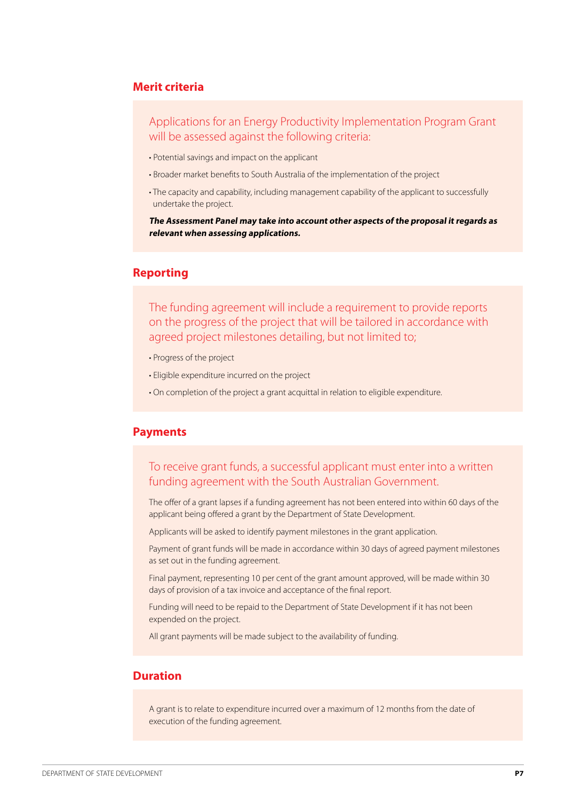#### **Merit criteria**

Applications for an Energy Productivity Implementation Program Grant will be assessed against the following criteria:

- Potential savings and impact on the applicant
- Broader market benefits to South Australia of the implementation of the project
- The capacity and capability, including management capability of the applicant to successfully undertake the project.

**The Assessment Panel may take into account other aspects of the proposal it regards as relevant when assessing applications.**

### **Reporting**

The funding agreement will include a requirement to provide reports on the progress of the project that will be tailored in accordance with agreed project milestones detailing, but not limited to;

- Progress of the project
- Eligible expenditure incurred on the project
- On completion of the project a grant acquittal in relation to eligible expenditure.

### **Payments**

### To receive grant funds, a successful applicant must enter into a written funding agreement with the South Australian Government.

The offer of a grant lapses if a funding agreement has not been entered into within 60 days of the applicant being offered a grant by the Department of State Development.

Applicants will be asked to identify payment milestones in the grant application.

Payment of grant funds will be made in accordance within 30 days of agreed payment milestones as set out in the funding agreement.

Final payment, representing 10 per cent of the grant amount approved, will be made within 30 days of provision of a tax invoice and acceptance of the final report.

Funding will need to be repaid to the Department of State Development if it has not been expended on the project.

All grant payments will be made subject to the availability of funding.

### **Duration**

A grant is to relate to expenditure incurred over a maximum of 12 months from the date of execution of the funding agreement.